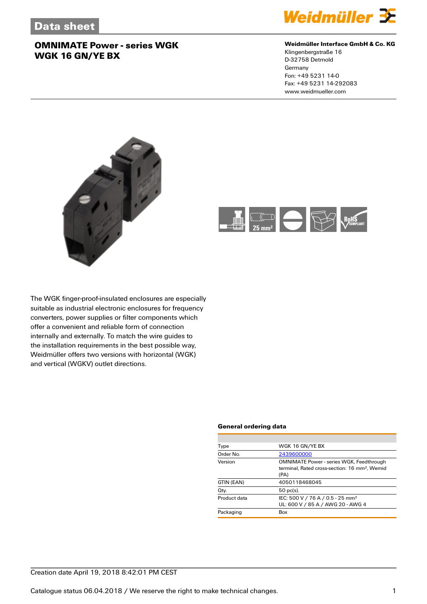

#### **Weidmüller Interface GmbH & Co. KG**

Klingenbergstraße 16 D-32758 Detmold Germany Fon: +49 5231 14-0 Fax: +49 5231 14-292083 www.weidmueller.com





The WGK finger-proof-insulated enclosures are especially suitable as industrial electronic enclosures for frequency converters, power supplies or filter components which offer a convenient and reliable form of connection internally and externally. To match the wire guides to the installation requirements in the best possible way, Weidmüller offers two versions with horizontal (WGK) and vertical (WGKV) outlet directions.

#### **General ordering data**

| Type         | WGK 16 GN/YE BX                                                                                                      |  |  |
|--------------|----------------------------------------------------------------------------------------------------------------------|--|--|
| Order No.    | 2439600000                                                                                                           |  |  |
| Version      | <b>OMNIMATE Power - series WGK, Feedthrough</b><br>terminal. Rated cross-section: 16 mm <sup>2</sup> . Wemid<br>(PA) |  |  |
| GTIN (EAN)   | 4050118468045                                                                                                        |  |  |
| Qty.         | $50$ pc(s).                                                                                                          |  |  |
| Product data | IEC: 500 V / 76 A / 0.5 - 25 mm <sup>2</sup><br>UL: 600 V / 85 A / AWG 20 - AWG 4                                    |  |  |
| Packaging    | Box                                                                                                                  |  |  |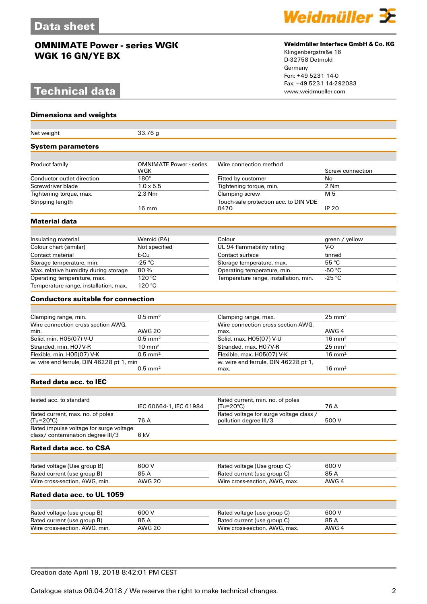# **Technical data**

#### **Dimensions and weights**

| Net weight                                                                   | 33.76g                         |                                                                   |                   |  |  |
|------------------------------------------------------------------------------|--------------------------------|-------------------------------------------------------------------|-------------------|--|--|
| System parameters                                                            |                                |                                                                   |                   |  |  |
| Product family                                                               | <b>OMNIMATE Power - series</b> | Wire connection method                                            |                   |  |  |
|                                                                              | WGK                            |                                                                   | Screw connection  |  |  |
| Conductor outlet direction                                                   | $180^\circ$                    | Fitted by customer                                                | No                |  |  |
| Screwdriver blade                                                            | $1.0 \times 5.5$               | Tightening torque, min.                                           | 2 Nm              |  |  |
| Tightening torque, max.                                                      | 2.3 Nm                         | Clamping screw                                                    | M 5               |  |  |
| Stripping length                                                             | $16 \text{ mm}$                | Touch-safe protection acc. to DIN VDE<br>0470                     | <b>IP 20</b>      |  |  |
| Material data                                                                |                                |                                                                   |                   |  |  |
| Insulating material                                                          | Wemid (PA)                     | Colour                                                            | green / yellow    |  |  |
| Colour chart (similar)                                                       | Not specified                  | UL 94 flammability rating                                         | $V-0$             |  |  |
| Contact material                                                             | E-Cu                           | Contact surface                                                   | tinned            |  |  |
| Storage temperature, min.                                                    | $-25 °C$                       | Storage temperature, max.                                         | 55 °C             |  |  |
| Max. relative humidity during storage                                        | 80%                            | Operating temperature, min.                                       | -50 $°C$          |  |  |
| Operating temperature, max.                                                  | 120 °C                         | Temperature range, installation, min.                             | $-25 °C$          |  |  |
| Temperature range, installation, max.                                        | 120 °C                         |                                                                   |                   |  |  |
| <b>Conductors suitable for connection</b>                                    |                                |                                                                   |                   |  |  |
|                                                                              |                                |                                                                   |                   |  |  |
| Clamping range, min.                                                         | $0.5$ mm <sup>2</sup>          | Clamping range, max.                                              | $25 \text{ mm}^2$ |  |  |
| Wire connection cross section AWG.                                           |                                | Wire connection cross section AWG,                                |                   |  |  |
| min.                                                                         | AWG 20                         | max.                                                              | AWG 4             |  |  |
| Solid, min. H05(07) V-U                                                      | $0.5$ mm <sup>2</sup>          | Solid, max. H05(07) V-U                                           | $16 \text{ mm}^2$ |  |  |
| Stranded, min. H07V-R                                                        | $10 \text{ mm}^2$              | Stranded, max. H07V-R                                             | $25 \text{ mm}^2$ |  |  |
| Flexible, min. H05(07) V-K                                                   | $0.5$ mm <sup>2</sup>          | Flexible, max. H05(07) V-K                                        | $16 \text{ mm}^2$ |  |  |
| w. wire end ferrule, DIN 46228 pt 1, min                                     | $0.5$ mm <sup>2</sup>          | w. wire end ferrule, DIN 46228 pt 1,<br>max.                      | $16 \text{ mm}^2$ |  |  |
| Rated data acc. to IEC                                                       |                                |                                                                   |                   |  |  |
|                                                                              |                                |                                                                   |                   |  |  |
| tested acc. to standard                                                      | IEC 60664-1, IEC 61984         | Rated current, min. no. of poles<br>(Tu=20°C)                     | 76 A              |  |  |
| Rated current, max. no. of poles<br>(Tu=20°C)                                | 76 A                           | Rated voltage for surge voltage class /<br>pollution degree III/3 | 500 V             |  |  |
| Rated impulse voltage for surge voltage<br>class/ contamination degree III/3 | 6 kV                           |                                                                   |                   |  |  |
| Rated data acc. to CSA                                                       |                                |                                                                   |                   |  |  |
|                                                                              |                                |                                                                   |                   |  |  |
| Rated voltage (Use group B)                                                  | 600 V                          | Rated voltage (Use group C)                                       | 600V              |  |  |
| Rated current (use group B)                                                  | 85 A                           | Rated current (use group C)                                       | 85 A              |  |  |
| Wire cross-section, AWG, min.                                                | <b>AWG 20</b>                  | Wire cross-section, AWG, max.                                     | AWG 4             |  |  |
| Rated data acc. to UL 1059                                                   |                                |                                                                   |                   |  |  |
|                                                                              |                                |                                                                   |                   |  |  |
| Rated voltage (use group B)                                                  | 600 V                          | Rated voltage (use group C)                                       | 600 V             |  |  |
| Rated current (use group B)                                                  | 85 A                           | Rated current (use group C)                                       | 85 A              |  |  |
| Wire cross-section, AWG, min.                                                | <b>AWG 20</b>                  | Wire cross-section, AWG, max.                                     | AWG 4             |  |  |



#### **Weidmüller Interface GmbH & Co. KG**

Klingenbergstraße 16 D-32758 Detmold Germany Fon: +49 5231 14-0 Fax: +49 5231 14-292083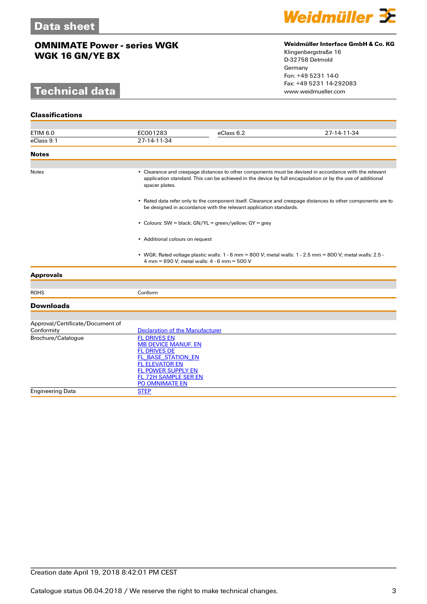# **Technical data**



#### **Weidmüller Interface GmbH & Co. KG**

Klingenbergstraße 16 D-32758 Detmold Germany Fon: +49 5231 14-0 Fax: +49 5231 14-292083

| <b>Classifications</b>           |                                                                                                                                                                                                                                        |            |             |  |
|----------------------------------|----------------------------------------------------------------------------------------------------------------------------------------------------------------------------------------------------------------------------------------|------------|-------------|--|
| <b>ETIM 6.0</b>                  | EC001283                                                                                                                                                                                                                               | eClass 6.2 | 27-14-11-34 |  |
| eClass 9.1                       | 27-14-11-34                                                                                                                                                                                                                            |            |             |  |
| <b>Notes</b>                     |                                                                                                                                                                                                                                        |            |             |  |
|                                  |                                                                                                                                                                                                                                        |            |             |  |
| <b>Notes</b>                     | • Clearance and creepage distances to other components must be devised in accordance with the relevant<br>application standard. This can be achieved in the device by full encapsulation or by the use of additional<br>spacer plates. |            |             |  |
|                                  | • Rated data refer only to the component itself. Clearance and creepage distances to other components are to<br>be designed in accordance with the relevant application standards.                                                     |            |             |  |
|                                  | • Colours: SW = black; GN/YL = green/yellow; GY = grey                                                                                                                                                                                 |            |             |  |
|                                  | • Additional colours on request                                                                                                                                                                                                        |            |             |  |
|                                  | • WGK: Rated voltage plastic walls: $1 - 6$ mm = 800 V; metal walls: $1 - 2.5$ mm = 800 V; metal walls: 2.5 -<br>4 mm = 690 V; metal walls: 4 - 6 mm = 500 V                                                                           |            |             |  |
| <b>Approvals</b>                 |                                                                                                                                                                                                                                        |            |             |  |
|                                  |                                                                                                                                                                                                                                        |            |             |  |
| <b>ROHS</b>                      | Conform                                                                                                                                                                                                                                |            |             |  |
| <b>Downloads</b>                 |                                                                                                                                                                                                                                        |            |             |  |
|                                  |                                                                                                                                                                                                                                        |            |             |  |
| Approval/Certificate/Document of |                                                                                                                                                                                                                                        |            |             |  |
| Conformity<br>Brochure/Catalogue | <b>Declaration of the Manufacturer</b><br><b>FL DRIVES EN</b>                                                                                                                                                                          |            |             |  |
|                                  | <b>MB DEVICE MANUF. EN</b>                                                                                                                                                                                                             |            |             |  |
|                                  | <b>FL DRIVES DE</b>                                                                                                                                                                                                                    |            |             |  |
|                                  | FL BASE STATION EN                                                                                                                                                                                                                     |            |             |  |
|                                  | <b>FL ELEVATOR EN</b>                                                                                                                                                                                                                  |            |             |  |
|                                  | FL POWER SUPPLY EN<br>FL 72H SAMPLE SER EN                                                                                                                                                                                             |            |             |  |
|                                  | PO OMNIMATE EN                                                                                                                                                                                                                         |            |             |  |
| <b>Engineering Data</b>          | <b>STEP</b>                                                                                                                                                                                                                            |            |             |  |